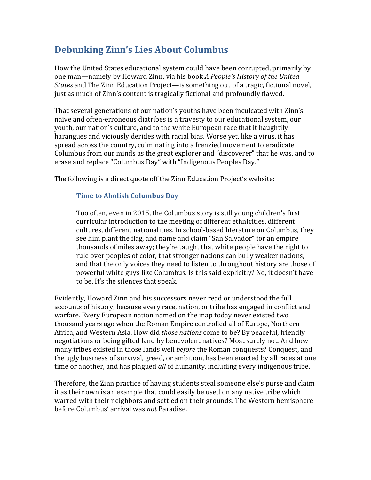## **Debunking Zinn's Lies About Columbus**

How the United States educational system could have been corrupted, primarily by one man—namely by Howard Zinn, via his book *A People's History of the United States* and The Zinn Education Project—is something out of a tragic, fictional novel, just as much of Zinn's content is tragically fictional and profoundly flawed.

That several generations of our nation's youths have been inculcated with Zinn's naïve and often-erroneous diatribes is a travesty to our educational system, our youth, our nation's culture, and to the white European race that it haughtily harangues and viciously derides with racial bias. Worse yet, like a virus, it has spread across the country, culminating into a frenzied movement to eradicate Columbus from our minds as the great explorer and "discoverer" that he was, and to erase and replace "Columbus Day" with "Indigenous Peoples Day."

The following is a direct quote off the Zinn Education Project's website:

## **Time to Abolish Columbus Day**

Too often, even in 2015, the Columbus story is still young children's first curricular introduction to the meeting of different ethnicities, different cultures, different nationalities. In school-based literature on Columbus, they see him plant the flag, and name and claim "San Salvador" for an empire thousands of miles away; they're taught that white people have the right to rule over peoples of color, that stronger nations can bully weaker nations, and that the only voices they need to listen to throughout history are those of powerful white guys like Columbus. Is this said explicitly? No, it doesn't have to be. It's the silences that speak.

Evidently, Howard Zinn and his successors never read or understood the full accounts of history, because every race, nation, or tribe has engaged in conflict and warfare. Every European nation named on the map today never existed two thousand years ago when the Roman Empire controlled all of Europe, Northern Africa, and Western Asia. How did *those nations* come to be? By peaceful, friendly negotiations or being gifted land by benevolent natives? Most surely not. And how many tribes existed in those lands well *before* the Roman conquests? Conquest, and the ugly business of survival, greed, or ambition, has been enacted by all races at one time or another, and has plagued *all* of humanity, including every indigenous tribe.

Therefore, the Zinn practice of having students steal someone else's purse and claim it as their own is an example that could easily be used on any native tribe which warred with their neighbors and settled on their grounds. The Western hemisphere before Columbus' arrival was *not* Paradise.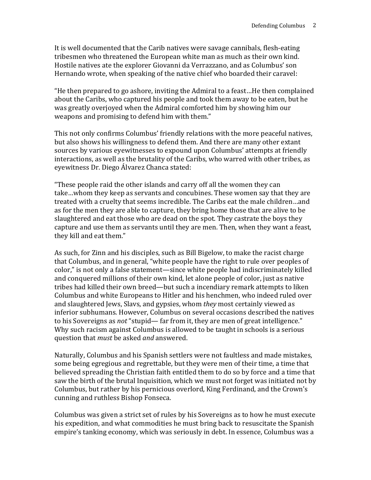It is well documented that the Carib natives were savage cannibals, flesh-eating tribesmen who threatened the European white man as much as their own kind. Hostile natives ate the explorer Giovanni da Verrazzano, and as Columbus' son Hernando wrote, when speaking of the native chief who boarded their caravel:

"He then prepared to go ashore, inviting the Admiral to a feast…He then complained about the Caribs, who captured his people and took them away to be eaten, but he was greatly overjoyed when the Admiral comforted him by showing him our weapons and promising to defend him with them."

This not only confirms Columbus' friendly relations with the more peaceful natives, but also shows his willingness to defend them. And there are many other extant sources by various eyewitnesses to expound upon Columbus' attempts at friendly interactions, as well as the brutality of the Caribs, who warred with other tribes, as eyewitness Dr. Diego Álvarez Chanca stated:

"These people raid the other islands and carry off all the women they can take…whom they keep as servants and concubines. These women say that they are treated with a cruelty that seems incredible. The Caribs eat the male children…and as for the men they are able to capture, they bring home those that are alive to be slaughtered and eat those who are dead on the spot. They castrate the boys they capture and use them as servants until they are men. Then, when they want a feast, they kill and eat them."

As such, for Zinn and his disciples, such as Bill Bigelow, to make the racist charge that Columbus, and in general, "white people have the right to rule over peoples of color," is not only a false statement—since white people had indiscriminately killed and conquered millions of their own kind, let alone people of color, just as native tribes had killed their own breed—but such a incendiary remark attempts to liken Columbus and white Europeans to Hitler and his henchmen, who indeed ruled over and slaughtered Jews, Slavs, and gypsies, whom *they* most certainly viewed as inferior subhumans. However, Columbus on several occasions described the natives to his Sovereigns as *not* "stupid— far from it, they are men of great intelligence." Why such racism against Columbus is allowed to be taught in schools is a serious question that *must* be asked *and* answered.

Naturally, Columbus and his Spanish settlers were not faultless and made mistakes, some being egregious and regrettable, but they were men of their time, a time that believed spreading the Christian faith entitled them to do so by force and a time that saw the birth of the brutal Inquisition, which we must not forget was initiated not by Columbus, but rather by his pernicious overlord, King Ferdinand, and the Crown's cunning and ruthless Bishop Fonseca.

Columbus was given a strict set of rules by his Sovereigns as to how he must execute his expedition, and what commodities he must bring back to resuscitate the Spanish empire's tanking economy, which was seriously in debt. In essence, Columbus was a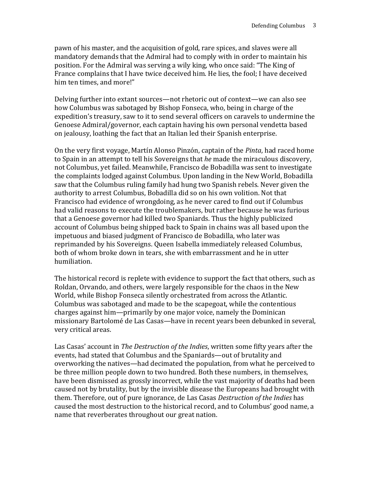pawn of his master, and the acquisition of gold, rare spices, and slaves were all mandatory demands that the Admiral had to comply with in order to maintain his position. For the Admiral was serving a wily king, who once said: "The King of France complains that I have twice deceived him. He lies, the fool; I have deceived him ten times, and more!"

Delving further into extant sources—not rhetoric out of context—we can also see how Columbus was sabotaged by Bishop Fonseca, who, being in charge of the expedition's treasury, saw to it to send several officers on caravels to undermine the Genoese Admiral/governor, each captain having his own personal vendetta based on jealousy, loathing the fact that an Italian led their Spanish enterprise.

On the very first voyage, Martín Alonso Pinzón, captain of the *Pinta*, had raced home to Spain in an attempt to tell his Sovereigns that *he* made the miraculous discovery, not Columbus, yet failed. Meanwhile, Francisco de Bobadilla was sent to investigate the complaints lodged against Columbus. Upon landing in the New World, Bobadilla saw that the Columbus ruling family had hung two Spanish rebels. Never given the authority to arrest Columbus, Bobadilla did so on his own volition. Not that Francisco had evidence of wrongdoing, as he never cared to find out if Columbus had valid reasons to execute the troublemakers, but rather because he was furious that a Genoese governor had killed two Spaniards. Thus the highly publicized account of Columbus being shipped back to Spain in chains was all based upon the impetuous and biased judgment of Francisco de Bobadilla, who later was reprimanded by his Sovereigns. Queen Isabella immediately released Columbus, both of whom broke down in tears, she with embarrassment and he in utter humiliation.

The historical record is replete with evidence to support the fact that others, such as Roldan, Orvando, and others, were largely responsible for the chaos in the New World, while Bishop Fonseca silently orchestrated from across the Atlantic. Columbus was sabotaged and made to be the scapegoat, while the contentious charges against him—primarily by one major voice, namely the Dominican missionary Bartolomé de Las Casas—have in recent years been debunked in several, very critical areas.

Las Casas' account in *The Destruction of the Indies*, written some fifty years after the events, had stated that Columbus and the Spaniards—out of brutality and overworking the natives—had decimated the population, from what he perceived to be three million people down to two hundred. Both these numbers, in themselves, have been dismissed as grossly incorrect, while the vast majority of deaths had been caused not by brutality, but by the invisible disease the Europeans had brought with them. Therefore, out of pure ignorance, de Las Casas *Destruction of the Indies* has caused the most destruction to the historical record, and to Columbus' good name, a name that reverberates throughout our great nation.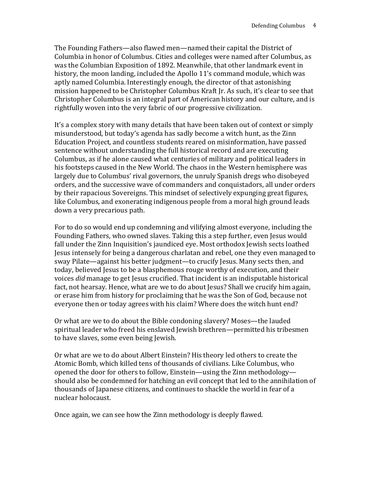The Founding Fathers—also flawed men—named their capital the District of Columbia in honor of Columbus. Cities and colleges were named after Columbus, as was the Columbian Exposition of 1892. Meanwhile, that other landmark event in history, the moon landing, included the Apollo 11's command module, which was aptly named Columbia. Interestingly enough, the director of that astonishing mission happened to be Christopher Columbus Kraft Jr. As such, it's clear to see that Christopher Columbus is an integral part of American history and our culture, and is rightfully woven into the very fabric of our progressive civilization.

It's a complex story with many details that have been taken out of context or simply misunderstood, but today's agenda has sadly become a witch hunt, as the Zinn Education Project, and countless students reared on misinformation, have passed sentence without understanding the full historical record and are executing Columbus, as if he alone caused what centuries of military and political leaders in his footsteps caused in the New World. The chaos in the Western hemisphere was largely due to Columbus' rival governors, the unruly Spanish dregs who disobeyed orders, and the successive wave of commanders and conquistadors, all under orders by their rapacious Sovereigns. This mindset of selectively expunging great figures, like Columbus, and exonerating indigenous people from a moral high ground leads down a very precarious path.

For to do so would end up condemning and vilifying almost everyone, including the Founding Fathers, who owned slaves. Taking this a step further, even Jesus would fall under the Zinn Inquisition's jaundiced eye. Most orthodox Jewish sects loathed Jesus intensely for being a dangerous charlatan and rebel, one they even managed to sway Pilate—against his better judgment—to crucify Jesus. Many sects then, and today, believed Jesus to be a blasphemous rouge worthy of execution, and their voices *did* manage to get Jesus crucified. That incident is an indisputable historical fact, not hearsay. Hence, what are we to do about Jesus? Shall we crucify him again, or erase him from history for proclaiming that he was the Son of God, because not everyone then or today agrees with his claim? Where does the witch hunt end?

Or what are we to do about the Bible condoning slavery? Moses—the lauded spiritual leader who freed his enslaved Jewish brethren—permitted his tribesmen to have slaves, some even being Jewish.

Or what are we to do about Albert Einstein? His theory led others to create the Atomic Bomb, which killed tens of thousands of civilians. Like Columbus, who opened the door for others to follow, Einstein—using the Zinn methodology should also be condemned for hatching an evil concept that led to the annihilation of thousands of Japanese citizens, and continues to shackle the world in fear of a nuclear holocaust.

Once again, we can see how the Zinn methodology is deeply flawed.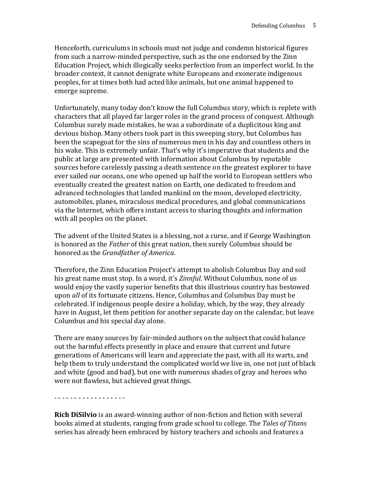Henceforth, curriculums in schools must not judge and condemn historical figures from such a narrow-minded perspective, such as the one endorsed by the Zinn Education Project, which illogically seeks perfection from an imperfect world. In the broader context, it cannot denigrate white Europeans and exonerate indigenous peoples, for at times both had acted like animals, but one animal happened to emerge supreme.

Unfortunately, many today don't know the full Columbus story, which is replete with characters that all played far larger roles in the grand process of conquest. Although Columbus surely made mistakes, he was a subordinate of a duplicitous king and devious bishop. Many others took part in this sweeping story, but Columbus has been the scapegoat for the sins of numerous men in his day and countless others in his wake. This is extremely unfair. That's why it's imperative that students and the public at large are presented with information about Columbus by reputable sources before carelessly passing a death sentence on the greatest explorer to have ever sailed our oceans, one who opened up half the world to European settlers who eventually created the greatest nation on Earth, one dedicated to freedom and advanced technologies that landed mankind on the moon, developed electricity, automobiles, planes, miraculous medical procedures, and global communications via the Internet, which offers instant access to sharing thoughts and information with all peoples on the planet.

The advent of the United States is a blessing, not a curse, and if George Washington is honored as the *Father* of this great nation, then surely Columbus should be honored as the *Grandfather of America*.

Therefore, the Zinn Education Project's attempt to abolish Columbus Day and soil his great name must stop. In a word, it's *Zinnful*. Without Columbus, none of us would enjoy the vastly superior benefits that this illustrious country has bestowed upon *all* of its fortunate citizens. Hence, Columbus and Columbus Day must be celebrated. If indigenous people desire a holiday, which, by the way, they already have in August, let them petition for another separate day on the calendar, but leave Columbus and his special day alone.

There are many sources by fair-minded authors on the subject that could balance out the harmful effects presently in place and ensure that current and future generations of Americans will learn and appreciate the past, with all its warts, and help them to truly understand the complicated world we live in, one not just of black and white (good and bad), but one with numerous shades of gray and heroes who were not flawless, but achieved great things.

## - - - - - - - - - - - - - - - - - -

**Rich DiSilvio** is an award-winning author of non-fiction and fiction with several books aimed at students, ranging from grade school to college. The *Tales of Titans*  series has already been embraced by history teachers and schools and features a